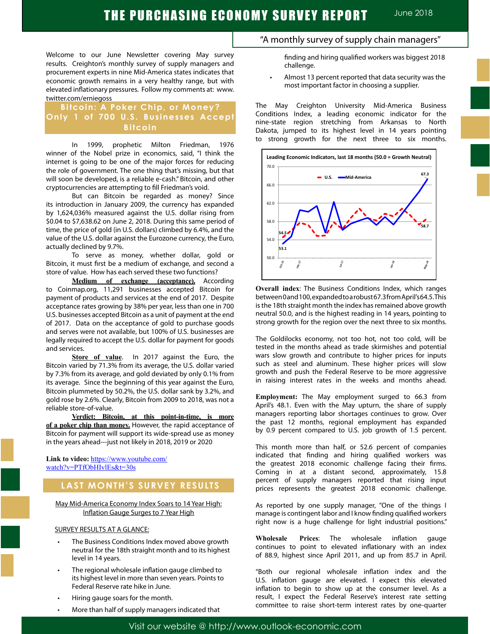Welcome to our June Newsletter covering May survey results. Creighton's monthly survey of supply managers and procurement experts in nine Mid-America states indicates that economic growth remains in a very healthy range, but with elevated inflationary pressures. Follow my comments at: www. twitter.com/erniegoss

### **Bitcoin: A Poker Chip, or Money? Only 1 of 700 U.S. Businesses Accept Bitcoin**

In 1999, prophetic Milton Friedman, 1976 winner of the Nobel prize in economics, said, "I think the internet is going to be one of the major forces for reducing the role of government. The one thing that's missing, but that will soon be developed, is a reliable e-cash." Bitcoin, and other cryptocurrencies are attempting to fill Friedman's void.

But can Bitcoin be regarded as money? Since its introduction in January 2009, the currency has expanded by 1,624,036% measured against the U.S. dollar rising from \$0.04 to \$7,638.62 on June 2, 2018. During this same period of time, the price of gold (in U.S. dollars) climbed by 6.4%, and the value of the U.S. dollar against the Eurozone currency, the Euro, actually declined by 9.7%.

To serve as money, whether dollar, gold or Bitcoin, it must first be a medium of exchange, and second a store of value. How has each served these two functions?

**Medium of exchange (acceptance).** According to Coinmap.org, 11,291 businesses accepted Bitcoin for payment of products and services at the end of 2017. Despite acceptance rates growing by 38% per year, less than one in 700 U.S. businesses accepted Bitcoin as a unit of payment at the end of 2017. Data on the acceptance of gold to purchase goods and serves were not available, but 100% of U.S. businesses are legally required to accept the U.S. dollar for payment for goods and services.

**Store of value**. In 2017 against the Euro, the Bitcoin varied by 71.3% from its average, the U.S. dollar varied by 7.3% from its average, and gold deviated by only 0.1% from its average. Since the beginning of this year against the Euro, Bitcoin plummeted by 50.2%, the U.S. dollar sank by 3.2%, and gold rose by 2.6%. Clearly, Bitcoin from 2009 to 2018, was not a reliable store-of-value.

**Verdict: Bitcoin, at this point-in-time, is more of a poker chip than money.** However, the rapid acceptance of Bitcoin for payment will support its wide-spread use as money in the years ahead---just not likely in 2018, 2019 or 2020

**Link to video:** https://www.youtube.com/ watch?v=PTfObHIvlEs&t=30s

### **LAST MONTH'S SURVEY RESULTS**

May Mid-America Economy Index Soars to 14 Year High: Inflation Gauge Surges to 7 Year High

### SURVEY RESULTS AT A GLANCE:

- The Business Conditions Index moved above growth neutral for the 18th straight month and to its highest level in 14 years.
- The regional wholesale inflation gauge climbed to its highest level in more than seven years. Points to Federal Reserve rate hike in June.
- Hiring gauge soars for the month.
- More than half of supply managers indicated that

### "A monthly survey of supply chain managers"

finding and hiring qualified workers was biggest 2018 challenge.

• Almost 13 percent reported that data security was the most important factor in choosing a supplier.

The May Creighton University Mid-America Business Conditions Index, a leading economic indicator for the nine-state region stretching from Arkansas to North Dakota, jumped to its highest level in 14 years pointing to strong growth for the next three to six months.



**Overall index**: The Business Conditions Index, which ranges between 0 and 100, expanded to a robust 67.3 from April's 64.5. This is the 18th straight month the index has remained above growth neutral 50.0, and is the highest reading in 14 years, pointing to strong growth for the region over the next three to six months.

The Goldilocks economy, not too hot, not too cold, will be tested in the months ahead as trade skirmishes and potential wars slow growth and contribute to higher prices for inputs such as steel and aluminum. These higher prices will slow growth and push the Federal Reserve to be more aggressive in raising interest rates in the weeks and months ahead.

**Employment:** The May employment surged to 66.3 from April's 48.1. Even with the May upturn, the share of supply managers reporting labor shortages continues to grow. Over the past 12 months, regional employment has expanded by 0.9 percent compared to U.S. job growth of 1.5 percent.

This month more than half, or 52.6 percent of companies indicated that finding and hiring qualified workers was the greatest 2018 economic challenge facing their firms. Coming in at a distant second, approximately, 15.8 percent of supply managers reported that rising input prices represents the greatest 2018 economic challenge.

As reported by one supply manager, "One of the things I manage is contingent labor and I know finding qualified workers right now is a huge challenge for light industrial positions."

**Wholesale Prices**: The wholesale inflation gauge continues to point to elevated inflationary with an index of 88.9, highest since April 2011, and up from 85.7 in April.

"Both our regional wholesale inflation index and the U.S. inflation gauge are elevated. I expect this elevated inflation to begin to show up at the consumer level. As a result, I expect the Federal Reserve's interest rate setting committee to raise short-term interest rates by one-quarter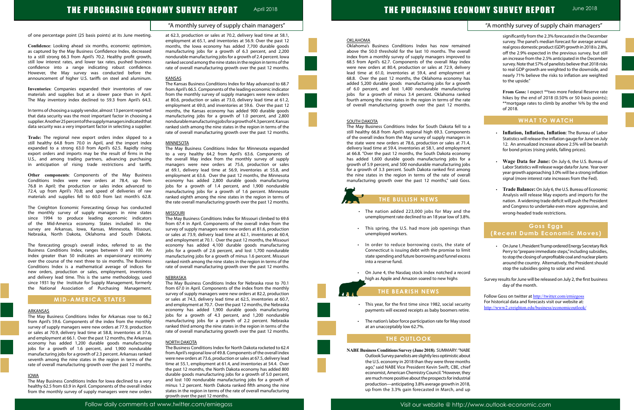### "A monthly survey of supply chain managers"

### "A monthly survey of supply chain managers"

Follow daily comments at www.twitter.com/erniegoss Visit our website @ http://www.outlook-economic.com

of one percentage point (25 basis points) at its June meeting.

**Confidence**: Looking ahead six months, economic optimism, as captured by the May Business Confidence Index, decreased to a still strong 66.3 from April's 70.2. Healthy profit growth, still low interest rates, and lower tax rates, pushed business confidence into a range indicating robust confidence. However, the May survey was conducted before the announcement of higher U.S. tariffs on steel and aluminum.

**Inventories**: Companies expanded their inventories of raw materials and supplies but at a slower pace than in April. The May inventory index declined to 59.3 from April's 64.3.

In terms of choosing a supply vendor, almost 13 percent reported that data security was the most important factor in choosing a supplier. Another 25 percent of the supply managers indicated that data security was a very important factor in selecting a supplier.

**Trade:** The regional new export orders index slipped to a still healthy 64.8 from 70.0 in April, and the import index expanded to a strong 63.0 from April's 62.5. Rapidly rising export orders and imports may be the result of firms in the U.S., and among trading partners, advancing purchasing in anticipation of rising trade restrictions and tariffs.

**Other components**: Components of the May Business Conditions Index were new orders at 78.4, up from 76.8 in April; the production or sales index advanced to 72.4, up from April's 70.8; and speed of deliveries of raw materials and supplies fell to 60.0 from last month's 62.8.

The Creighton Economic Forecasting Group has conducted the monthly survey of supply managers in nine states since 1994 to produce leading economic indicators of the Mid-America economy. States included in the survey are Arkansas, Iowa, Kansas, Minnesota, Missouri, Nebraska, North Dakota, Oklahoma and South Dakota.

The forecasting group's overall index, referred to as the Business Conditions Index, ranges between 0 and 100. An index greater than 50 indicates an expansionary economy over the course of the next three to six months. The Business Conditions Index is a mathematical average of indices for new orders, production or sales, employment, inventories and delivery lead time. This is the same methodology, used since 1931 by the Institute for Supply Management, formerly the National Association of Purchasing Management.

### **MID-AMERICA STATES**

#### ARKANSAS

The May Business Conditions Index for Arkansas rose to 66.2 from April's 59.6. Components of the index from the monthly survey of supply managers were new orders at 77.9, production or sales at 70.9, delivery lead time at 58.8, inventories at 57.6, and employment at 66.1. Over the past 12 months, the Arkansas economy has added 1,200 durable goods manufacturing jobs for a growth of 1.6 percent, and 1,900 nondurable manufacturing jobs for a growth of 2.3 percent. Arkansas ranked seventh among the nine states in the region in terms of the rate of overall manufacturing growth over the past 12 months.

#### IOWA

The May Business Conditions Index for Iowa declined to a very healthy 62.5 from 63.9 in April. Components of the overall index from the monthly survey of supply managers were new orders at 62.3, production or sales at 70.2, delivery lead time at 58.1, employment at 65.1, and inventories at 56.9. Over the past 12 months, the Iowa economy has added 7,700 durable goods manufacturing jobs for a growth of 6.3 percent, and 2,200 nondurable manufacturing jobs for a growth of 2.4 percent. Iowa ranked second among the nine states in the region in terms of the rate of overall manufacturing growth over the past 12 months.

### **KANSAS**

The Kansas Business Conditions Index for May advanced to 68.7 from April's 66.5. Components of the leading economic indicator from the monthly survey of supply managers were new orders at 80.6, production or sales at 73.0, delivery lead time at 61.2, employment at 69.0, and inventories at 59.6. Over the past 12 months, the Kansas economy has added 900 durable goods manufacturing jobs for a growth of 1.0 percent, and 2,800 nondurable manufacturing jobs for a growth of 4.3 percent. Kansas ranked sixth among the nine states in the region in terms of the rate of overall manufacturing growth over the past 12 months.

### **MINNESOTA**

- The nation added 223,000 jobs for May and the unemployment rate declined to an 18 year low of 3.8%.
- • This spring, the U.S. had more job openings than unemployed workers.
- • In order to reduce borrowing costs, the state of Connecticut is issuing debt with the promise to limit state spending and future borrowing and funnel excess into a reserve fund.
- On June 4, the Nasdaq stock index notched a record high as Apple and Amazon soared to new highs

The May Business Conditions Index for Minnesota expanded to a very healthy 64.2 from April's 63.6. Components of the overall May index from the monthly survey of supply managers were new orders at 75.6, production or sales at 69.1, delivery lead time at 56.9, inventories at 55.8, and employment at 63.6. Over the past 12 months, the Minnesota economy has added 2,800 durable goods manufacturing jobs for a growth of 1.4 percent, and 1,900 nondurable manufacturing jobs for a growth of 1.6 percent. Minnesota ranked eighth among the nine states in the region in terms of the rate overall manufacturing growth over the past 12 months.

#### MISSOURI

The May Business Conditions Index for Missouri climbed to 69.6 from 67.4 in April. Components of the overall index from the survey of supply managers were new orders at 81.6, production or sales at 73.9, delivery lead time at 62.1, inventories at 60.4, and employment at 70.1. Over the past 12 months, the Missouri economy has added 4,100 durable goods manufacturing jobs for a growth of 2.6 percent, and lost 1,700 nondurable manufacturing jobs for a growth of minus 1.6 percent. Missouri ranked ninth among the nine states in the region in terms of the rate of overall manufacturing growth over the past 12 months.

- On June 1, President Trump ordered Energy Secretary Rick Perry to "prepare immediate steps," including subsidies, to stop the closing of unprofitable coal and nuclear plants around the country. Alternatively, the President should stop the subsidies going to solar and wind.
- Survey results for June will be released on July 2, the first business day of the month.

Follow Goss on twitter at http://twitter.com/erniegoss For historical data and forecasts visit our website at: http://www2.creighton.edu/business/economicoutlook/



- 
- 
- 
- 

#### NEBRASKA

The May Business Conditions Index for Nebraska rose to 70.1 from 67.0 in April. Components of the index from the monthly survey of supply managers were new orders at 82.2, production or sales at 74.3, delivery lead time at 62.5, inventories at 60.7, and employment at 70.7. Over the past 12 months, the Nebraska economy has added 1,900 durable goods manufacturing jobs for a growth of 4.3 percent, and 1,200 nondurable manufacturing jobs for a growth of 2.2 percent. Nebraska ranked third among the nine states in the region in terms of the rate of overall manufacturing growth over the past 12 months.

### NORTH DAKOTA

The Business Conditions Index for North Dakota rocketed to 62.4 from April's regional low of 49.8. Components of the overall index were new orders at 73.6, production or sales at 67.5, delivery lead time at 55.1, employment at 61.4, and inventories at 54.4. Over the past 12 months, the North Dakota economy has added 800 durable goods manufacturing jobs for a growth of 5.0 percent, and lost 100 nondurable manufacturing jobs for a growth of minus 1.2 percent. North Dakota ranked fifth among the nine states in the region in terms of the rate of overall manufacturing growth over the past 12 months.











**OKLAHOMA** 

# THE PURCHASING ECONOMY SURVEY REPORT April 2018

Oklahoma's Business Conditions Index has now remained above the 50.0 threshold for the last 10 months. The overall index from a monthly survey of supply managers improved to 68.5 from April's 62.7. Components of the overall May index were new orders at 80.4, production or sales at 72.9, delivery lead time at 61.0, inventories at 59.4, and employment at 68.8. Over the past 12 months, the Oklahoma economy has added 5,200 durable goods manufacturing jobs for a growth of 6.0 percent, and lost 1,400 nondurable manufacturing jobs for a growth of minus 3.4 percent. Oklahoma ranked fourth among the nine states in the region in terms of the rate of overall manufacturing growth over the past 12 months.

SOUTH DAKOTA The May Business Conditions Index for South Dakota fell to a still healthy 66.8 from April's regional high 69.3. Components of the overall index from the May survey of supply managers in the state were new orders at 78.6, production or sales at 71.4, delivery lead time at 59.4, inventories at 58.1, and employment at 66.8. "Over the past 12 months, the South Dakota economy has added 1,600 durable goods manufacturing jobs for a growth of 5.9 percent, and 500 nondurable manufacturing jobs for a growth of 3.3 percent. South Dakota ranked first among the nine states in the region in terms of the rate of overall manufacturing growth over the past 12 months," said Goss.

## **THE BULLISH NEWS**

### **THE BEARISH NEWS**

- • This year, for the first time since 1982, social security payments will exceed receipts as baby boomers retire.
- The nation's labor force participation rate for May stood at an unacceptably low 62.7%.

### **THE OUTLOOK**

**NABE Business Conditions Survey (June 2018)**. SUMMARY: "NABE Outlook Survey panelists are slightly less optimistic about the U.S. economy in 2018 than they were three months ago," said NABE Vice President Kevin Swift, CBE, chief economist, American Chemistry Council. "However, they are much more positive about the prospects for industrial production—anticipating 3.8% average growth in 2018, up from the 3.3% gain forecasted in March, and up

significantly from the 2.3% forecasted in the December survey. The panel's median forecast for average annual real gross domestic product (GDP) growth in 2018 is 2.8%, off the 2.9% expected in the previous survey, but still an increase from the 2.5% anticipated in the December survey. Note that 57% of panelists believe that 2018 risks to real GDP growth are weighted to the downside, and nearly 71% believe the risks to inflation are weighted to the upside."

**From Goss:** I expect \*\*two more Federal Reserve rate hikes by the end of 2018 (0.50% or 50 basis points); \*\*mortgage rates to climb by another ¾% by the end of 2018.

### **WHAT TO WATCH**

- • **Inflation, Inflation, Inflation**: The Bureau of Labor Statistics will release the inflation gauge for June on July 12. An annualized increase above 2.5% will be bearish for bond prices (rising yields, falling prices).
- • **Wage Data for June:** On July 6, the U.S. Bureau of Labor Statistics will release wage data for June. Year over year growth approaching 3.0% will be a strong inflation signal (more interest rate increases from the Fed).
- • **Trade Balance:** On July 6, the U.S. Bureau of Economic Analysis will release May exports and imports for the nation. A widening trade deficit will push the President and Congress to undertake even more aggressive, and wrong-headed trade restrictions.

### **Goss Eggs (Recent Dumb Economic Moves)**